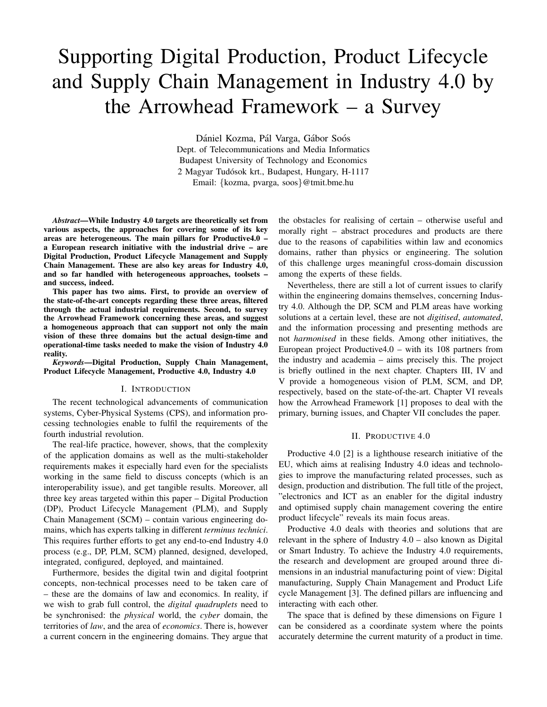# Supporting Digital Production, Product Lifecycle and Supply Chain Management in Industry 4.0 by the Arrowhead Framework – a Survey

Dániel Kozma, Pál Varga, Gábor Soós Dept. of Telecommunications and Media Informatics Budapest University of Technology and Economics 2 Magyar Tudósok krt., Budapest, Hungary, H-1117 Email: {kozma, pvarga, soos}@tmit.bme.hu

*Abstract*—While Industry 4.0 targets are theoretically set from various aspects, the approaches for covering some of its key areas are heterogeneous. The main pillars for Productive4.0 – a European research initiative with the industrial drive – are Digital Production, Product Lifecycle Management and Supply Chain Management. These are also key areas for Industry 4.0, and so far handled with heterogeneous approaches, toolsets – and success, indeed.

This paper has two aims. First, to provide an overview of the state-of-the-art concepts regarding these three areas, filtered through the actual industrial requirements. Second, to survey the Arrowhead Framework concerning these areas, and suggest a homogeneous approach that can support not only the main vision of these three domains but the actual design-time and operational-time tasks needed to make the vision of Industry 4.0 reality.

*Keywords*—Digital Production, Supply Chain Management, Product Lifecycle Management, Productive 4.0, Industry 4.0

## I. INTRODUCTION

The recent technological advancements of communication systems, Cyber-Physical Systems (CPS), and information processing technologies enable to fulfil the requirements of the fourth industrial revolution.

The real-life practice, however, shows, that the complexity of the application domains as well as the multi-stakeholder requirements makes it especially hard even for the specialists working in the same field to discuss concepts (which is an interoperability issue), and get tangible results. Moreover, all three key areas targeted within this paper – Digital Production (DP), Product Lifecycle Management (PLM), and Supply Chain Management (SCM) – contain various engineering domains, which has experts talking in different *terminus technici*. This requires further efforts to get any end-to-end Industry 4.0 process (e.g., DP, PLM, SCM) planned, designed, developed, integrated, configured, deployed, and maintained.

Furthermore, besides the digital twin and digital footprint concepts, non-technical processes need to be taken care of – these are the domains of law and economics. In reality, if we wish to grab full control, the *digital quadruplets* need to be synchronised: the *physical* world, the *cyber* domain, the territories of *law*, and the area of *economics*. There is, however a current concern in the engineering domains. They argue that

the obstacles for realising of certain – otherwise useful and morally right – abstract procedures and products are there due to the reasons of capabilities within law and economics domains, rather than physics or engineering. The solution of this challenge urges meaningful cross-domain discussion among the experts of these fields.

Nevertheless, there are still a lot of current issues to clarify within the engineering domains themselves, concerning Industry 4.0. Although the DP, SCM and PLM areas have working solutions at a certain level, these are not *digitised*, *automated*, and the information processing and presenting methods are not *harmonised* in these fields. Among other initiatives, the European project Productive4.0 – with its 108 partners from the industry and academia – aims precisely this. The project is briefly outlined in the next chapter. Chapters III, IV and V provide a homogeneous vision of PLM, SCM, and DP, respectively, based on the state-of-the-art. Chapter VI reveals how the Arrowhead Framework [1] proposes to deal with the primary, burning issues, and Chapter VII concludes the paper.

## II. PRODUCTIVE 4.0

Productive 4.0 [2] is a lighthouse research initiative of the EU, which aims at realising Industry 4.0 ideas and technologies to improve the manufacturing related processes, such as design, production and distribution. The full title of the project, "electronics and ICT as an enabler for the digital industry and optimised supply chain management covering the entire product lifecycle" reveals its main focus areas.

Productive 4.0 deals with theories and solutions that are relevant in the sphere of Industry 4.0 – also known as Digital or Smart Industry. To achieve the Industry 4.0 requirements, the research and development are grouped around three dimensions in an industrial manufacturing point of view: Digital manufacturing, Supply Chain Management and Product Life cycle Management [3]. The defined pillars are influencing and interacting with each other.

The space that is defined by these dimensions on Figure 1 can be considered as a coordinate system where the points accurately determine the current maturity of a product in time.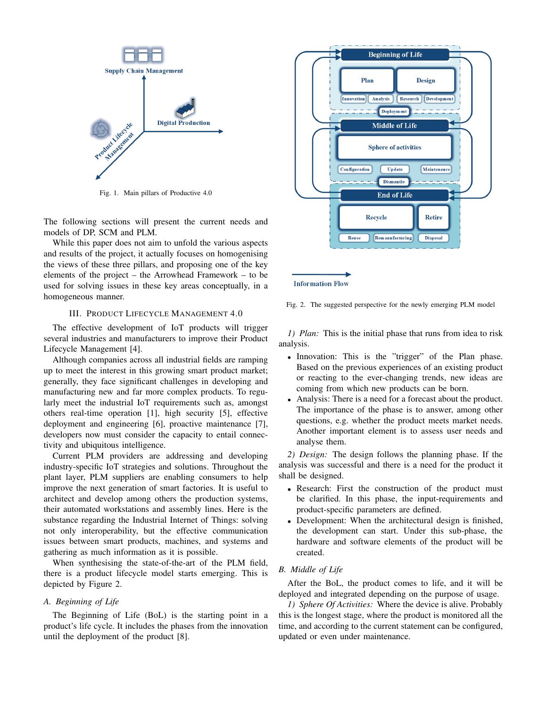

Fig. 1. Main pillars of Productive 4.0

The following sections will present the current needs and models of DP, SCM and PLM.

While this paper does not aim to unfold the various aspects and results of the project, it actually focuses on homogenising the views of these three pillars, and proposing one of the key elements of the project – the Arrowhead Framework – to be used for solving issues in these key areas conceptually, in a homogeneous manner.

# III. PRODUCT LIFECYCLE MANAGEMENT 4.0

The effective development of IoT products will trigger several industries and manufacturers to improve their Product Lifecycle Management [4].

Although companies across all industrial fields are ramping up to meet the interest in this growing smart product market; generally, they face significant challenges in developing and manufacturing new and far more complex products. To regularly meet the industrial IoT requirements such as, amongst others real-time operation [1], high security [5], effective deployment and engineering [6], proactive maintenance [7], developers now must consider the capacity to entail connectivity and ubiquitous intelligence.

Current PLM providers are addressing and developing industry-specific IoT strategies and solutions. Throughout the plant layer, PLM suppliers are enabling consumers to help improve the next generation of smart factories. It is useful to architect and develop among others the production systems, their automated workstations and assembly lines. Here is the substance regarding the Industrial Internet of Things: solving not only interoperability, but the effective communication issues between smart products, machines, and systems and gathering as much information as it is possible.

When synthesising the state-of-the-art of the PLM field, there is a product lifecycle model starts emerging. This is depicted by Figure 2.

## *A. Beginning of Life*

The Beginning of Life (BoL) is the starting point in a product's life cycle. It includes the phases from the innovation until the deployment of the product [8].



**Information Flow** 

Fig. 2. The suggested perspective for the newly emerging PLM model

*1) Plan:* This is the initial phase that runs from idea to risk analysis.

- Innovation: This is the "trigger" of the Plan phase. Based on the previous experiences of an existing product or reacting to the ever-changing trends, new ideas are coming from which new products can be born.
- Analysis: There is a need for a forecast about the product. The importance of the phase is to answer, among other questions, e.g. whether the product meets market needs. Another important element is to assess user needs and analyse them.

*2) Design:* The design follows the planning phase. If the analysis was successful and there is a need for the product it shall be designed.

- Research: First the construction of the product must be clarified. In this phase, the input-requirements and product-specific parameters are defined.
- Development: When the architectural design is finished, the development can start. Under this sub-phase, the hardware and software elements of the product will be created.

## *B. Middle of Life*

After the BoL, the product comes to life, and it will be deployed and integrated depending on the purpose of usage.

*1) Sphere Of Activities:* Where the device is alive. Probably this is the longest stage, where the product is monitored all the time, and according to the current statement can be configured, updated or even under maintenance.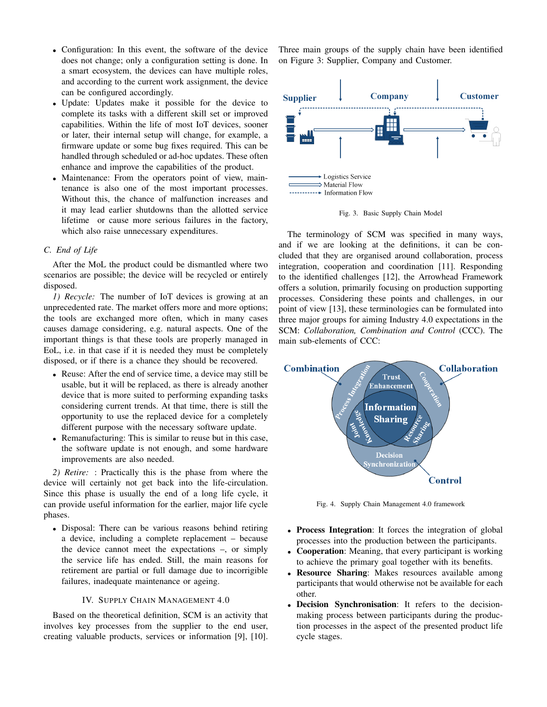- Configuration: In this event, the software of the device does not change; only a configuration setting is done. In a smart ecosystem, the devices can have multiple roles, and according to the current work assignment, the device can be configured accordingly.
- Update: Updates make it possible for the device to complete its tasks with a different skill set or improved capabilities. Within the life of most IoT devices, sooner or later, their internal setup will change, for example, a firmware update or some bug fixes required. This can be handled through scheduled or ad-hoc updates. These often enhance and improve the capabilities of the product.
- Maintenance: From the operators point of view, maintenance is also one of the most important processes. Without this, the chance of malfunction increases and it may lead earlier shutdowns than the allotted service lifetime or cause more serious failures in the factory, which also raise unnecessary expenditures.

# *C. End of Life*

After the MoL the product could be dismantled where two scenarios are possible; the device will be recycled or entirely disposed.

*1) Recycle:* The number of IoT devices is growing at an unprecedented rate. The market offers more and more options; the tools are exchanged more often, which in many cases causes damage considering, e.g. natural aspects. One of the important things is that these tools are properly managed in EoL, i.e. in that case if it is needed they must be completely disposed, or if there is a chance they should be recovered.

- Reuse: After the end of service time, a device may still be usable, but it will be replaced, as there is already another device that is more suited to performing expanding tasks considering current trends. At that time, there is still the opportunity to use the replaced device for a completely different purpose with the necessary software update.
- Remanufacturing: This is similar to reuse but in this case, the software update is not enough, and some hardware improvements are also needed.

*2) Retire:* : Practically this is the phase from where the device will certainly not get back into the life-circulation. Since this phase is usually the end of a long life cycle, it can provide useful information for the earlier, major life cycle phases.

• Disposal: There can be various reasons behind retiring a device, including a complete replacement – because the device cannot meet the expectations –, or simply the service life has ended. Still, the main reasons for retirement are partial or full damage due to incorrigible failures, inadequate maintenance or ageing.

## IV. SUPPLY CHAIN MANAGEMENT 4.0

Based on the theoretical definition, SCM is an activity that involves key processes from the supplier to the end user, creating valuable products, services or information [9], [10]. Three main groups of the supply chain have been identified on Figure 3: Supplier, Company and Customer.



Fig. 3. Basic Supply Chain Model

The terminology of SCM was specified in many ways, and if we are looking at the definitions, it can be concluded that they are organised around collaboration, process integration, cooperation and coordination [11]. Responding to the identified challenges [12], the Arrowhead Framework offers a solution, primarily focusing on production supporting processes. Considering these points and challenges, in our point of view [13], these terminologies can be formulated into three major groups for aiming Industry 4.0 expectations in the SCM: *Collaboration, Combination and Control* (CCC). The main sub-elements of CCC:



Fig. 4. Supply Chain Management 4.0 framework

- Process Integration: It forces the integration of global processes into the production between the participants.
- Cooperation: Meaning, that every participant is working to achieve the primary goal together with its benefits.
- Resource Sharing: Makes resources available among participants that would otherwise not be available for each other.
- Decision Synchronisation: It refers to the decisionmaking process between participants during the production processes in the aspect of the presented product life cycle stages.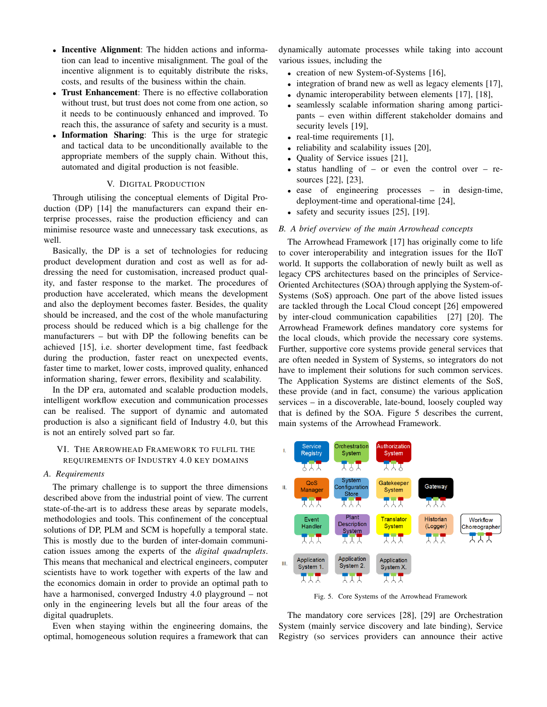- Incentive Alignment: The hidden actions and information can lead to incentive misalignment. The goal of the incentive alignment is to equitably distribute the risks, costs, and results of the business within the chain.
- Trust Enhancement: There is no effective collaboration without trust, but trust does not come from one action, so it needs to be continuously enhanced and improved. To reach this, the assurance of safety and security is a must.
- Information Sharing: This is the urge for strategic and tactical data to be unconditionally available to the appropriate members of the supply chain. Without this, automated and digital production is not feasible.

## V. DIGITAL PRODUCTION

Through utilising the conceptual elements of Digital Production (DP) [14] the manufacturers can expand their enterprise processes, raise the production efficiency and can minimise resource waste and unnecessary task executions, as well.

Basically, the DP is a set of technologies for reducing product development duration and cost as well as for addressing the need for customisation, increased product quality, and faster response to the market. The procedures of production have accelerated, which means the development and also the deployment becomes faster. Besides, the quality should be increased, and the cost of the whole manufacturing process should be reduced which is a big challenge for the manufacturers – but with DP the following benefits can be achieved [15], i.e. shorter development time, fast feedback during the production, faster react on unexpected events, faster time to market, lower costs, improved quality, enhanced information sharing, fewer errors, flexibility and scalability.

In the DP era, automated and scalable production models, intelligent workflow execution and communication processes can be realised. The support of dynamic and automated production is also a significant field of Industry 4.0, but this is not an entirely solved part so far.

# VI. THE ARROWHEAD FRAMEWORK TO FULFIL THE REQUIREMENTS OF INDUSTRY 4.0 KEY DOMAINS

#### *A. Requirements*

The primary challenge is to support the three dimensions described above from the industrial point of view. The current state-of-the-art is to address these areas by separate models, methodologies and tools. This confinement of the conceptual solutions of DP, PLM and SCM is hopefully a temporal state. This is mostly due to the burden of inter-domain communication issues among the experts of the *digital quadruplets*. This means that mechanical and electrical engineers, computer scientists have to work together with experts of the law and the economics domain in order to provide an optimal path to have a harmonised, converged Industry 4.0 playground – not only in the engineering levels but all the four areas of the digital quadruplets.

Even when staying within the engineering domains, the optimal, homogeneous solution requires a framework that can

dynamically automate processes while taking into account various issues, including the

- creation of new System-of-Systems [16],
- integration of brand new as well as legacy elements [17],
- dynamic interoperability between elements [17], [18],
- seamlessly scalable information sharing among participants – even within different stakeholder domains and security levels [19],
- real-time requirements [1],
- reliability and scalability issues [20],
- Quality of Service issues [21],
- status handling of or even the control over resources [22], [23],
- ease of engineering processes in design-time, deployment-time and operational-time [24],
- safety and security issues [25], [19].

#### *B. A brief overview of the main Arrowhead concepts*

The Arrowhead Framework [17] has originally come to life to cover interoperability and integration issues for the IIoT world. It supports the collaboration of newly built as well as legacy CPS architectures based on the principles of Service-Oriented Architectures (SOA) through applying the System-of-Systems (SoS) approach. One part of the above listed issues are tackled through the Local Cloud concept [26] empowered by inter-cloud communication capabilities [27] [20]. The Arrowhead Framework defines mandatory core systems for the local clouds, which provide the necessary core systems. Further, supportive core systems provide general services that are often needed in System of Systems, so integrators do not have to implement their solutions for such common services. The Application Systems are distinct elements of the SoS, these provide (and in fact, consume) the various application services – in a discoverable, late-bound, loosely coupled way that is defined by the SOA. Figure 5 describes the current, main systems of the Arrowhead Framework.



Fig. 5. Core Systems of the Arrowhead Framework

The mandatory core services [28], [29] are Orchestration System (mainly service discovery and late binding), Service Registry (so services providers can announce their active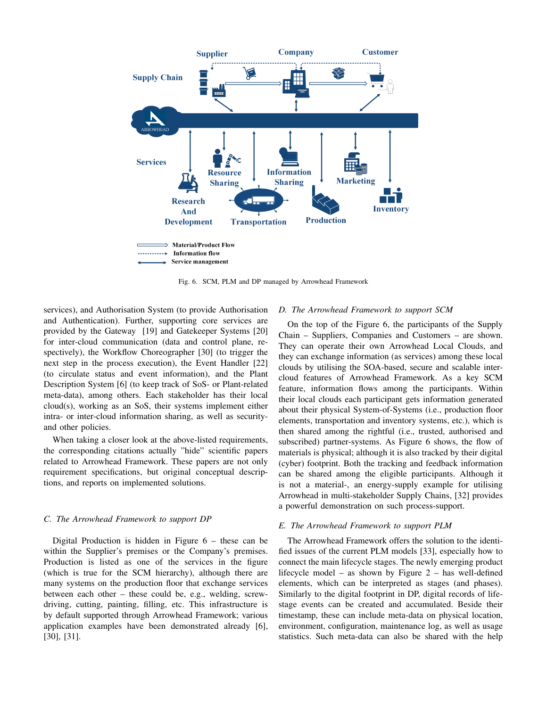

Fig. 6. SCM, PLM and DP managed by Arrowhead Framework

services), and Authorisation System (to provide Authorisation and Authentication). Further, supporting core services are provided by the Gateway [19] and Gatekeeper Systems [20] for inter-cloud communication (data and control plane, respectively), the Workflow Choreographer [30] (to trigger the next step in the process execution), the Event Handler [22] (to circulate status and event information), and the Plant Description System [6] (to keep track of SoS- or Plant-related meta-data), among others. Each stakeholder has their local cloud(s), working as an SoS, their systems implement either intra- or inter-cloud information sharing, as well as securityand other policies.

When taking a closer look at the above-listed requirements, the corresponding citations actually "hide" scientific papers related to Arrowhead Framework. These papers are not only requirement specifications, but original conceptual descriptions, and reports on implemented solutions.

# *C. The Arrowhead Framework to support DP*

Digital Production is hidden in Figure 6 – these can be within the Supplier's premises or the Company's premises. Production is listed as one of the services in the figure (which is true for the SCM hierarchy), although there are many systems on the production floor that exchange services between each other – these could be, e.g., welding, screwdriving, cutting, painting, filling, etc. This infrastructure is by default supported through Arrowhead Framework; various application examples have been demonstrated already [6], [30], [31].

# *D. The Arrowhead Framework to support SCM*

On the top of the Figure 6, the participants of the Supply Chain – Suppliers, Companies and Customers – are shown. They can operate their own Arrowhead Local Clouds, and they can exchange information (as services) among these local clouds by utilising the SOA-based, secure and scalable intercloud features of Arrowhead Framework. As a key SCM feature, information flows among the participants. Within their local clouds each participant gets information generated about their physical System-of-Systems (i.e., production floor elements, transportation and inventory systems, etc.), which is then shared among the rightful (i.e., trusted, authorised and subscribed) partner-systems. As Figure 6 shows, the flow of materials is physical; although it is also tracked by their digital (cyber) footprint. Both the tracking and feedback information can be shared among the eligible participants. Although it is not a material-, an energy-supply example for utilising Arrowhead in multi-stakeholder Supply Chains, [32] provides a powerful demonstration on such process-support.

## *E. The Arrowhead Framework to support PLM*

The Arrowhead Framework offers the solution to the identified issues of the current PLM models [33], especially how to connect the main lifecycle stages. The newly emerging product lifecycle model – as shown by Figure 2 – has well-defined elements, which can be interpreted as stages (and phases). Similarly to the digital footprint in DP, digital records of lifestage events can be created and accumulated. Beside their timestamp, these can include meta-data on physical location, environment, configuration, maintenance log, as well as usage statistics. Such meta-data can also be shared with the help